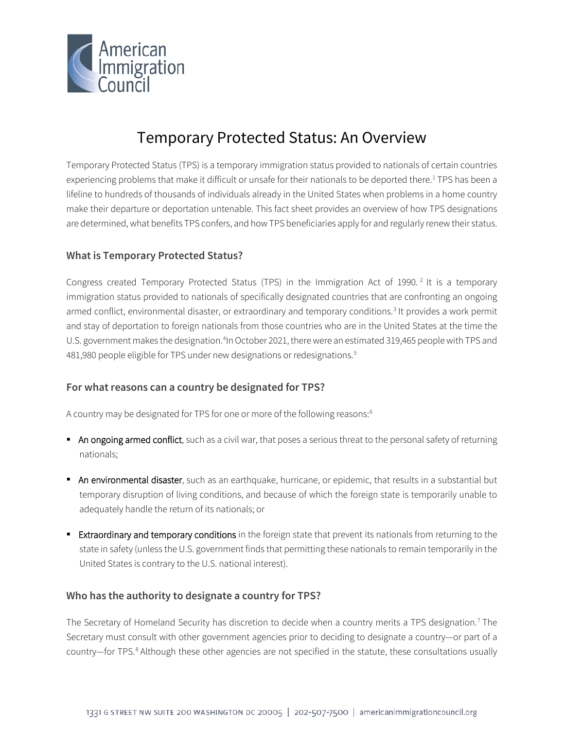

# Temporary Protected Status: An Overview

Temporary Protected Status (TPS) is a temporary immigration status provided to nationals of certain countries experiencing problems that make it difficult or unsafe for their nationals to be deported there.<sup>[1](#page-6-0)</sup> TPS has been a lifeline to hundreds of thousands of individuals already in the United States when problems in a home country make their departure or deportation untenable. This fact sheet provides an overview of how TPS designations are determined, what benefits TPS confers, and how TPS beneficiaries apply for and regularly renew their status.

# **What is Temporary Protected Status?**

Congress created Temporary Protected Status (TPS) in the Immigration Act of 1990.<sup>[2](#page-6-1)</sup> It is a temporary immigration status provided to nationals of specifically designated countries that are confronting an ongoing armed conflict, environmental disaster, or extraordinary and temporary conditions.<sup>[3](#page-6-2)</sup> It provides a work permit and stay of deportation to foreign nationals from those countries who are in the United States at the time the U.S. government makes the designation.<sup>[4](#page-6-3)</sup>In October 2021, there were an estimated 319,465 people with TPS and 481,980 people eligible for TPS under new designations or redesignations. [5](#page-6-4)

#### **For what reasons can a country be designated for TPS?**

A country may be designated for TPS for one or more of the following reasons:<sup>[6](#page-6-5)</sup>

- An ongoing armed conflict, such as a civil war, that poses a serious threat to the personal safety of returning nationals;
- An environmental disaster, such as an earthquake, hurricane, or epidemic, that results in a substantial but temporary disruption of living conditions, and because of which the foreign state is temporarily unable to adequately handle the return of its nationals; or
- **Extraordinary and temporary conditions** in the foreign state that prevent its nationals from returning to the state in safety (unless the U.S. government finds that permitting these nationals to remain temporarily in the United States is contrary to the U.S. national interest).

#### **Who has the authority to designate a country for TPS?**

The Secretary of Homeland Security has discretion to decide when a country merits a TPS designation.<sup>[7](#page-6-6)</sup> The Secretary must consult with other government agencies prior to deciding to designate a country—or part of a country—for TPS.<sup>[8](#page-6-7)</sup> Although these other agencies are not specified in the statute, these consultations usually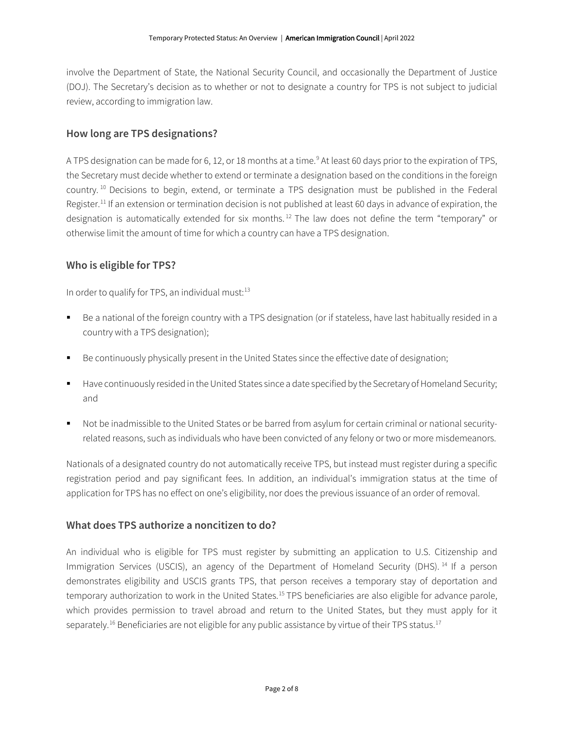involve the Department of State, the National Security Council, and occasionally the Department of Justice (DOJ). The Secretary's decision as to whether or not to designate a country for TPS is not subject to judicial review, according to immigration law.

# **How long are TPS designations?**

A TPS designation can be made for 6, 12, or 18 months at a time.<sup>[9](#page-6-8)</sup> At least 60 days prior to the expiration of TPS, the Secretary must decide whether to extend or terminate a designation based on the conditions in the foreign country. [10](#page-6-9) Decisions to begin, extend, or terminate a TPS designation must be published in the Federal Register.<sup>[11](#page-6-10)</sup> If an extension or termination decision is not published at least 60 days in advance of expiration, the designation is automatically extended for six months.<sup>[12](#page-6-11)</sup> The law does not define the term "temporary" or otherwise limit the amount of time for which a country can have a TPS designation.

# **Who is eligible for TPS?**

In order to qualify for TPS, an individual must: $13$ 

- Be a national of the foreign country with a TPS designation (or if stateless, have last habitually resided in a country with a TPS designation);
- Be continuously physically present in the United States since the effective date of designation;
- Have continuously resided in the United States since a date specified by the Secretary of Homeland Security; and
- Not be inadmissible to the United States or be barred from asylum for certain criminal or national securityrelated reasons, such as individuals who have been convicted of any felony or two or more misdemeanors.

Nationals of a designated country do not automatically receive TPS, but instead must register during a specific registration period and pay significant fees. In addition, an individual's immigration status at the time of application for TPS has no effect on one's eligibility, nor does the previous issuance of an order of removal.

#### **What does TPS authorize a noncitizen to do?**

An individual who is eligible for TPS must register by submitting an application to U.S. Citizenship and Immigration Services (USCIS), an agency of the Department of Homeland Security (DHS).<sup>[14](#page-6-13)</sup> If a person demonstrates eligibility and USCIS grants TPS, that person receives a temporary stay of deportation and temporary authorization to work in the United States.<sup>[15](#page-6-14)</sup> TPS beneficiaries are also eligible for advance parole, which provides permission to travel abroad and return to the United States, but they must apply for it separately.<sup>[16](#page-6-15)</sup> Beneficiaries are not eligible for any public assistance by virtue of their TPS status.<sup>[17](#page-6-16)</sup>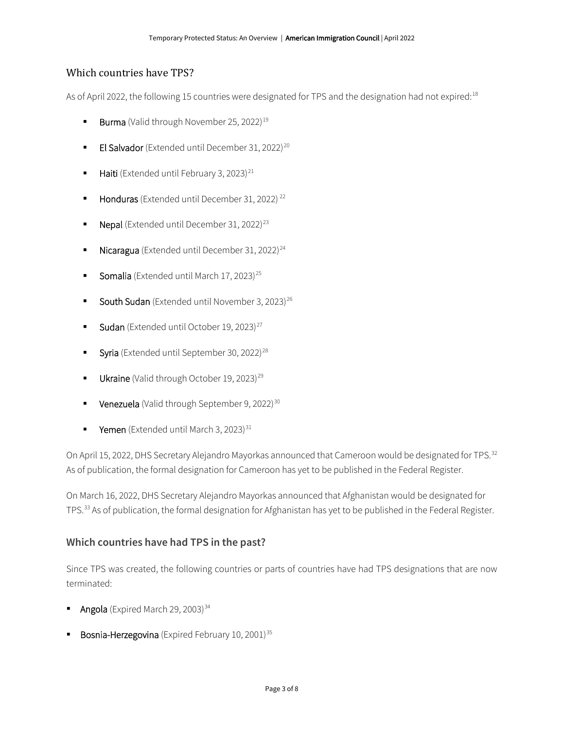# Which countries have TPS?

As of April 2022, the following 15 countries were designated for TPS and the designation had not expired:<sup>[18](#page-6-17)</sup>

- **Burma** (Valid through November 25, 2022)<sup>[19](#page-6-18)</sup>
- **El Salvador** (Extended until December 31, [20](#page-6-19)22)<sup>20</sup>
- $\blacksquare$  Haiti (Extended until February 3, 2023)<sup>[21](#page-6-20)</sup>
- Honduras (Extended until December 31, 20[22](#page-6-21))<sup>22</sup>
- **Nepal** (Extended until December 31, 2022)<sup>[23](#page-6-22)</sup>
- $\blacksquare$  Nicaragua (Extended until December 31, 2022)<sup>[24](#page-6-23)</sup>
- Somalia (Extended until March 17, 2023)<sup>[25](#page-6-24)</sup>
- **South Sudan** (Extended until November 3, 2023)<sup>[26](#page-6-25)</sup>
- **Sudan** (Extended until October 19, 2023)<sup>[27](#page-6-26)</sup>
- Syria (Extended until September 30, 2022)<sup>[28](#page-6-27)</sup>
- Ukraine (Valid through October 19, 2023)<sup>[29](#page-7-0)</sup>
- **Venezuela** (Valid through September 9, 2022)<sup>[30](#page-7-1)</sup>
- **Yemen** (Extended until March 3, 2023)<sup>[31](#page-7-2)</sup>

On April 15, 2022, DHS Secretary Alejandro Mayorkas announced that Cameroon would be designated for TPS.<sup>[32](#page-7-3)</sup> As of publication, the formal designation for Cameroon has yet to be published in the Federal Register.

On March 16, 2022, DHS Secretary Alejandro Mayorkas announced that Afghanistan would be designated for TPS.[33](#page-7-4) As of publication, the formal designation for Afghanistan has yet to be published in the Federal Register.

# **Which countries have had TPS in the past?**

Since TPS was created, the following countries or parts of countries have had TPS designations that are now terminated:

- Angola (Expired March 29, 2003) $34$
- Bosnia-Herzegovina (Expired February 10, 2001)<sup>[35](#page-7-6)</sup>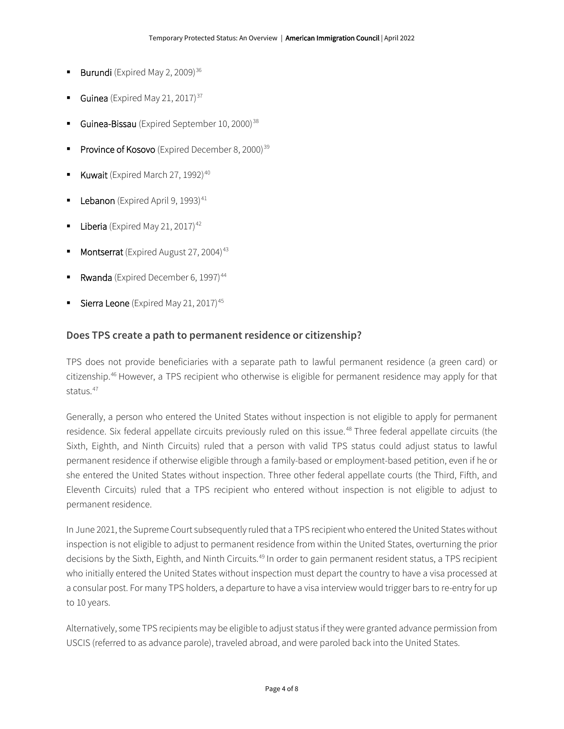- Burundi (Expired May 2, 2009) $36$
- Guinea (Expired May 21, 2017) $37$
- Guinea-Bissau (Expired September 10, 2000)<sup>[38](#page-7-9)</sup>
- Province of Kosovo (Expired December 8, 2000)<sup>[39](#page-7-10)</sup>
- Kuwait (Expired March 27, 1992) $40$
- Lebanon (Expired April 9, 1993)<sup>[41](#page-7-12)</sup>
- Liberia (Expired May 21, 2017) $42$
- Montserrat (Expired August 27, 2004)<sup>[43](#page-7-14)</sup>
- Rwanda (Expired December 6, 1997)<sup>[44](#page-7-15)</sup>
- Sierra Leone (Expired May 21, 2017)<sup>[45](#page-7-16)</sup>

#### **Does TPS create a path to permanent residence or citizenship?**

TPS does not provide beneficiaries with a separate path to lawful permanent residence (a green card) or citizenship.[46](#page-7-17) However, a TPS recipient who otherwise is eligible for permanent residence may apply for that status.<sup>[47](#page-7-18)</sup>

Generally, a person who entered the United States without inspection is not eligible to apply for permanent residence. Six federal appellate circuits previously ruled on this issue.<sup>[48](#page-7-19)</sup> Three federal appellate circuits (the Sixth, Eighth, and Ninth Circuits) ruled that a person with valid TPS status could adjust status to lawful permanent residence if otherwise eligible through a family-based or employment-based petition, even if he or she entered the United States without inspection. Three other federal appellate courts (the Third, Fifth, and Eleventh Circuits) ruled that a TPS recipient who entered without inspection is not eligible to adjust to permanent residence.

In June 2021, the Supreme Court subsequently ruled that a TPS recipient who entered the United States without inspection is not eligible to adjust to permanent residence from within the United States, overturning the prior decisions by the Sixth, Eighth, and Ninth Circuits.<sup>[49](#page-7-20)</sup> In order to gain permanent resident status, a TPS recipient who initially entered the United States without inspection must depart the country to have a visa processed at a consular post. For many TPS holders, a departure to have a visa interview would trigger bars to re-entry for up to 10 years.

Alternatively, some TPS recipients may be eligible to adjust status if they were granted advance permission from USCIS (referred to as advance parole), traveled abroad, and were paroled back into the United States.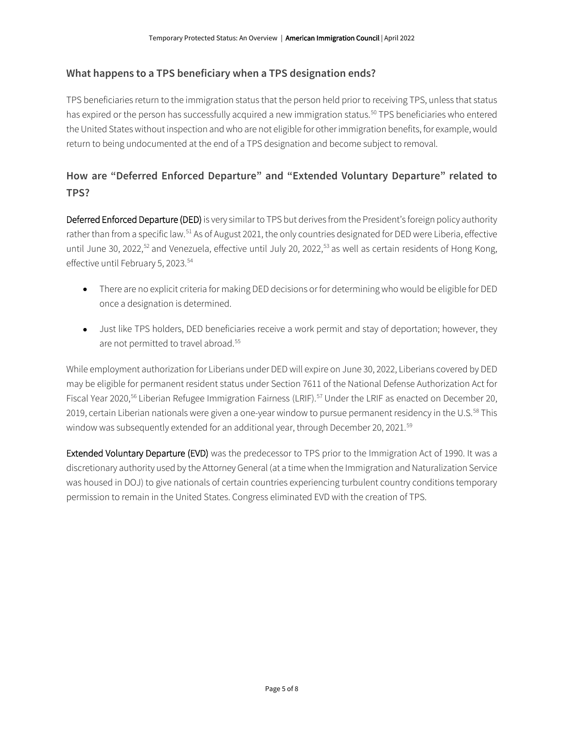# **What happens to a TPS beneficiary when a TPS designation ends?**

TPS beneficiaries return to the immigration status that the person held prior to receiving TPS, unless that status has expired or the person has successfully acquired a new immigration status.<sup>[50](#page-7-21)</sup> TPS beneficiaries who entered the United States without inspection and who are not eligible for other immigration benefits, for example, would return to being undocumented at the end of a TPS designation and become subject to removal.

# **How are "Deferred Enforced Departure" and "Extended Voluntary Departure" related to TPS?**

Deferred Enforced Departure (DED) is very similar to TPS but derives from the President's foreign policy authority rather than from a specific law.<sup>[51](#page-7-22)</sup> As of August 2021, the only countries designated for DED were Liberia, effective until June 30, 2022,<sup>[52](#page-7-0)</sup> and Venezuela, effective until July 20, 2022,<sup>[53](#page-7-1)</sup> as well as certain residents of Hong Kong, effective until February 5, 2023. [54](#page-7-23)

- There are no explicit criteria for making DED decisions or for determining who would be eligible for DED once a designation is determined.
- Just like TPS holders, DED beneficiaries receive a work permit and stay of deportation; however, they are not permitted to travel abroad.<sup>[55](#page-7-24)</sup>

While employment authorization for Liberians under DED will expire on June 30, 2022, Liberians covered by DED may be eligible for permanent resident status under Section 7611 of the National Defense Authorization Act for Fiscal Year 2020,<sup>[56](#page-7-25)</sup> Liberian Refugee Immigration Fairness (LRIF).<sup>[57](#page-7-26)</sup> Under the LRIF as enacted on December 20, 2019, certain Liberian nationals were given a one-year window to pursue permanent residency in the U.S.<sup>[58](#page-7-27)</sup> This window was subsequently extended for an additional year, through December 20, 2021.<sup>[59](#page-7-28)</sup>

Extended Voluntary Departure (EVD) was the predecessor to TPS prior to the Immigration Act of 1990. It was a discretionary authority used by the Attorney General (at a time when the Immigration and Naturalization Service was housed in DOJ) to give nationals of certain countries experiencing turbulent country conditions temporary permission to remain in the United States. Congress eliminated EVD with the creation of TPS.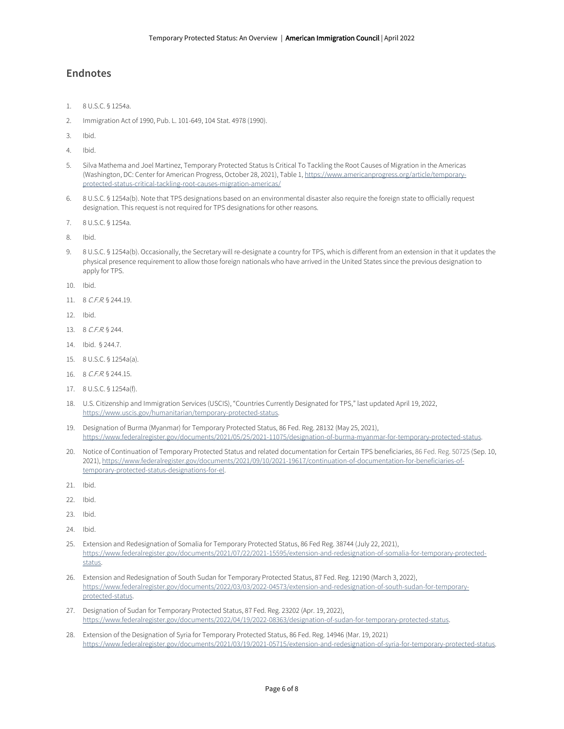#### **Endnotes**

- 1. 8 U.S.C. § 1254a.
- 2. Immigration Act of 1990, Pub. L. 101-649, 104 Stat. 4978 (1990).
- 3. Ibid.
- 4. Ibid.
- 5. Silva Mathema and Joel Martinez, Temporary Protected Status Is Critical To Tackling the Root Causes of Migration in the Americas (Washington, DC: Center for American Progress, October 28, 2021), Table 1[, https://www.americanprogress.org/article/temporary](https://www.americanprogress.org/article/temporary-protected-status-critical-tackling-root-causes-migration-americas/)[protected-status-critical-tackling-root-causes-migration-americas/](https://www.americanprogress.org/article/temporary-protected-status-critical-tackling-root-causes-migration-americas/)
- 6. 8 U.S.C. § 1254a(b). Note that TPS designations based on an environmental disaster also require the foreign state to officially request designation. This request is not required for TPS designations for other reasons.
- 7. 8 U.S.C. § 1254a.
- 8. Ibid.
- 9. 8 U.S.C. § 1254a(b). Occasionally, the Secretary will re-designate a country for TPS, which is different from an extension in that it updates the physical presence requirement to allow those foreign nationals who have arrived in the United States since the previous designation to apply for TPS.
- 10. Ibid.
- 11. 8 C.F.R. § 244.19.
- 12. Ibid.
- 13. 8 C.F.R. § 244.
- 14. Ibid. § 244.7.
- 15. 8 U.S.C. § 1254a(a).
- 16. 8 C.F.R. § 244.15.
- 17. 8 U.S.C. § 1254a(f).
- 18. U.S. Citizenship and Immigration Services (USCIS), "Countries Currently Designated for TPS," last updated April 19, 2022, [https://www.uscis.gov/humanitarian/temporary-protected-status.](https://www.uscis.gov/humanitarian/temporary-protected-status)
- 19. Designation of Burma (Myanmar) for Temporary Protected Status, 86 Fed. Reg. 28132 (May 25, 2021), [https://www.federalregister.gov/documents/2021/05/25/2021-11075/designation-of-burma-myanmar-for-temporary-protected-status.](https://www.federalregister.gov/documents/2021/05/25/2021-11075/designation-of-burma-myanmar-for-temporary-protected-status)
- 20. Notice of Continuation of Temporary Protected Status and related documentation for Certain TPS beneficiaries, 86 Fed. Reg. 50725 (Sep. 10, 2021), [https://www.federalregister.gov/documents/2021/09/10/2021-19617/continuation-of-documentation-for-beneficiaries-of](https://www.federalregister.gov/documents/2021/09/10/2021-19617/continuation-of-documentation-for-beneficiaries-of-temporary-protected-status-designations-for-el)[temporary-protected-status-designations-for-el.](https://www.federalregister.gov/documents/2021/09/10/2021-19617/continuation-of-documentation-for-beneficiaries-of-temporary-protected-status-designations-for-el)
- 21. Ibid.
- 22. Ibid.
- 23. Ibid.
- 24. Ibid.
- 25. Extension and Redesignation of Somalia for Temporary Protected Status, 86 Fed Reg. 38744 (July 22, 2021), [https://www.federalregister.gov/documents/2021/07/22/2021-15595/extension-and-redesignation-of-somalia-for-temporary-protected](https://www.federalregister.gov/documents/2021/07/22/2021-15595/extension-and-redesignation-of-somalia-for-temporary-protected-status)[status.](https://www.federalregister.gov/documents/2021/07/22/2021-15595/extension-and-redesignation-of-somalia-for-temporary-protected-status)
- 26. Extension and Redesignation of South Sudan for Temporary Protected Status, 87 Fed. Reg. 12190 (March 3, 2022), [https://www.federalregister.gov/documents/2022/03/03/2022-04573/extension-and-redesignation-of-south-sudan-for-temporary](https://www.federalregister.gov/documents/2022/03/03/2022-04573/extension-and-redesignation-of-south-sudan-for-temporary-protected-status)[protected-status.](https://www.federalregister.gov/documents/2022/03/03/2022-04573/extension-and-redesignation-of-south-sudan-for-temporary-protected-status)
- 27. Designation of Sudan for Temporary Protected Status, 87 Fed. Reg. 23202 (Apr. 19, 2022), [https://www.federalregister.gov/documents/2022/04/19/2022-08363/designation-of-sudan-for-temporary-protected-status.](https://www.federalregister.gov/documents/2022/04/19/2022-08363/designation-of-sudan-for-temporary-protected-status)
- 28. Extension of the Designation of Syria for Temporary Protected Status, 86 Fed. Reg. 14946 (Mar. 19, 2021) [https://www.federalregister.gov/documents/2021/03/19/2021-05715/extension-and-redesignation-of-syria-for-temporary-protected-status.](https://www.federalregister.gov/documents/2021/03/19/2021-05715/extension-and-redesignation-of-syria-for-temporary-protected-status)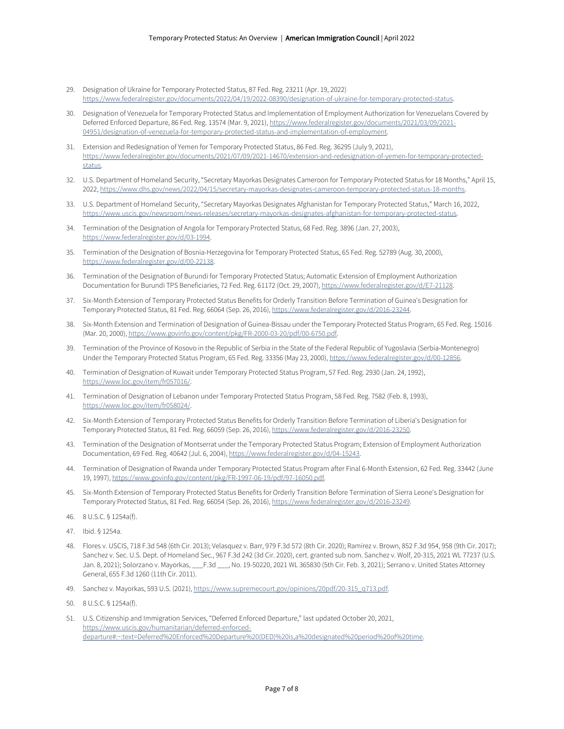- 29. Designation of Ukraine for Temporary Protected Status, 87 Fed. Reg. 23211 (Apr. 19, 2022) [https://www.federalregister.gov/documents/2022/04/19/2022-08390/designation-of-ukraine-for-temporary-protected-status.](https://www.federalregister.gov/documents/2022/04/19/2022-08390/designation-of-ukraine-for-temporary-protected-status)
- <span id="page-6-1"></span><span id="page-6-0"></span>30. Designation of Venezuela for Temporary Protected Status and Implementation of Employment Authorization for Venezuelans Covered by Deferred Enforced Departure, 86 Fed. Reg. 13574 (Mar. 9, 2021)[, https://www.federalregister.gov/documents/2021/03/09/2021-](https://www.federalregister.gov/documents/2021/03/09/2021-04951/designation-of-venezuela-for-temporary-protected-status-and-implementation-of-employment) [04951/designation-of-venezuela-for-temporary-protected-status-and-implementation-of-employment.](https://www.federalregister.gov/documents/2021/03/09/2021-04951/designation-of-venezuela-for-temporary-protected-status-and-implementation-of-employment)
- <span id="page-6-3"></span><span id="page-6-2"></span>31. Extension and Redesignation of Yemen for Temporary Protected Status, 86 Fed. Reg. 36295 (July 9, 2021), [https://www.federalregister.gov/documents/2021/07/09/2021-14670/extension-and-redesignation-of-yemen-for-temporary-protected](https://www.federalregister.gov/documents/2021/07/09/2021-14670/extension-and-redesignation-of-yemen-for-temporary-protected-status)[status.](https://www.federalregister.gov/documents/2021/07/09/2021-14670/extension-and-redesignation-of-yemen-for-temporary-protected-status)
- <span id="page-6-4"></span>32. U.S. Department of Homeland Security, "Secretary Mayorkas Designates Cameroon for Temporary Protected Status for 18 Months," April 15, 2022[, https://www.dhs.gov/news/2022/04/15/secretary-mayorkas-designates-cameroon-temporary-protected-status-18-months.](https://www.dhs.gov/news/2022/04/15/secretary-mayorkas-designates-cameroon-temporary-protected-status-18-months)
- <span id="page-6-5"></span>33. U.S. Department of Homeland Security, "Secretary Mayorkas Designates Afghanistan for Temporary Protected Status," March 16, 2022, [https://www.uscis.gov/newsroom/news-releases/secretary-mayorkas-designates-afghanistan-for-temporary-protected-status.](https://www.uscis.gov/newsroom/news-releases/secretary-mayorkas-designates-afghanistan-for-temporary-protected-status)
- <span id="page-6-7"></span><span id="page-6-6"></span>34. Termination of the Designation of Angola for Temporary Protected Status, 68 Fed. Reg. 3896 (Jan. 27, 2003), [https://www.federalregister.gov/d/03-1994.](https://www.federalregister.gov/d/03-1994)
- <span id="page-6-8"></span>35. Termination of the Designation of Bosnia-Herzegovina for Temporary Protected Status, 65 Fed. Reg. 52789 (Aug. 30, 2000), [https://www.federalregister.gov/d/00-22138.](https://www.federalregister.gov/d/00-22138)
- <span id="page-6-9"></span>36. Termination of the Designation of Burundi for Temporary Protected Status; Automatic Extension of Employment Authorization Documentation for Burundi TPS Beneficiaries, 72 Fed. Reg. 61172 (Oct. 29, 2007)[, https://www.federalregister.gov/d/E7-21128.](https://www.federalregister.gov/d/E7-21128)
- <span id="page-6-10"></span>37. Six-Month Extension of Temporary Protected Status Benefits for Orderly Transition Before Termination of Guinea's Designation for Temporary Protected Status, 81 Fed. Reg. 66064 (Sep. 26, 2016)[, https://www.federalregister.gov/d/2016-23244.](https://www.federalregister.gov/d/2016-23244)
- <span id="page-6-12"></span><span id="page-6-11"></span>38. Six-Month Extension and Termination of Designation of Guinea-Bissau under the Temporary Protected Status Program, 65 Fed. Reg. 15016 (Mar. 20, 2000)[, https://www.govinfo.gov/content/pkg/FR-2000-03-20/pdf/00-6750.pdf.](https://www.govinfo.gov/content/pkg/FR-2000-03-20/pdf/00-6750.pdf)
- <span id="page-6-14"></span><span id="page-6-13"></span>39. Termination of the Province of Kosovo in the Republic of Serbia in the State of the Federal Republic of Yugoslavia (Serbia-Montenegro) Under the Temporary Protected Status Program, 65 Fed. Reg. 33356 (May 23, 2000)[, https://www.federalregister.gov/d/00-12856.](https://www.federalregister.gov/d/00-12856)
- <span id="page-6-15"></span>40. Termination of Designation of Kuwait under Temporary Protected Status Program, 57 Fed. Reg. 2930 (Jan. 24, 1992), [https://www.loc.gov/item/fr057016/.](https://www.loc.gov/item/fr057016/)
- <span id="page-6-17"></span><span id="page-6-16"></span>41. Termination of Designation of Lebanon under Temporary Protected Status Program, 58 Fed. Reg. 7582 (Feb. 8, 1993), [https://www.loc.gov/item/fr058024/.](https://www.loc.gov/item/fr058024/)
- <span id="page-6-18"></span>42. Six-Month Extension of Temporary Protected Status Benefits for Orderly Transition Before Termination of Liberia's Designation for Temporary Protected Status, 81 Fed. Reg. 66059 (Sep. 26, 2016)[, https://www.federalregister.gov/d/2016-23250.](https://www.federalregister.gov/d/2016-23250)
- <span id="page-6-19"></span>43. Termination of the Designation of Montserrat under the Temporary Protected Status Program; Extension of Employment Authorization Documentation, 69 Fed. Reg. 40642 (Jul. 6, 2004)[, https://www.federalregister.gov/d/04-15243.](https://www.federalregister.gov/d/04-15243)
- 44. Termination of Designation of Rwanda under Temporary Protected Status Program after Final 6-Month Extension, 62 Fed. Reg. 33442 (June 19, 1997), [https://www.govinfo.gov/content/pkg/FR-1997-06-19/pdf/97-16050.pdf.](https://www.govinfo.gov/content/pkg/FR-1997-06-19/pdf/97-16050.pdf)
- <span id="page-6-21"></span><span id="page-6-20"></span>45. Six-Month Extension of Temporary Protected Status Benefits for Orderly Transition Before Termination of Sierra Leone's Designation for Temporary Protected Status, 81 Fed. Reg. 66054 (Sep. 26, 2016)[, https://www.federalregister.gov/d/2016-23249.](https://www.federalregister.gov/d/2016-23249)
- <span id="page-6-22"></span>46. 8 U.S.C. § 1254a(f).
- <span id="page-6-23"></span>47. Ibid. § 1254a.
- <span id="page-6-24"></span>48. Flores v. USCIS, 718 F.3d 548 (6th Cir. 2013); Velasquez v. Barr, 979 F.3d 572 (8th Cir. 2020); Ramirez v. Brown, 852 F.3d 954, 958 (9th Cir. 2017); Sanchez v. Sec. U.S. Dept. of Homeland Sec., 967 F.3d 242 (3d Cir. 2020), cert. granted sub nom. Sanchez v. Wolf, 20-315, 2021 WL 77237 (U.S. Jan. 8, 2021); Solorzano v. Mayorkas, \_\_\_F.3d \_\_\_, No. 19-50220, 2021 WL 365830 (5th Cir. Feb. 3, 2021); Serrano v. United States Attorney General, 655 F.3d 1260 (11th Cir. 2011).
- <span id="page-6-25"></span>49. Sanchez v. Mayorkas, 593 U.S. (2021), https://www.supremecourt.gov/opinions/20pdf/20-315\_q713.pdf.
- <span id="page-6-26"></span>50. 8 U.S.C. § 1254a(f).
- <span id="page-6-27"></span>51. U.S. Citizenship and Immigration Services, "Deferred Enforced Departure," last updated October 20, 2021, [https://www.uscis.gov/humanitarian/deferred-enforced](https://www.uscis.gov/humanitarian/deferred-enforced-departure#:%7E:text=Deferred%20Enforced%20Departure%20(DED)%20is,a%20designated%20period%20of%20time)[departure#:~:text=Deferred%20Enforced%20Departure%20\(DED\)%20is,a%20designated%20period%20of%20time.](https://www.uscis.gov/humanitarian/deferred-enforced-departure#:%7E:text=Deferred%20Enforced%20Departure%20(DED)%20is,a%20designated%20period%20of%20time)